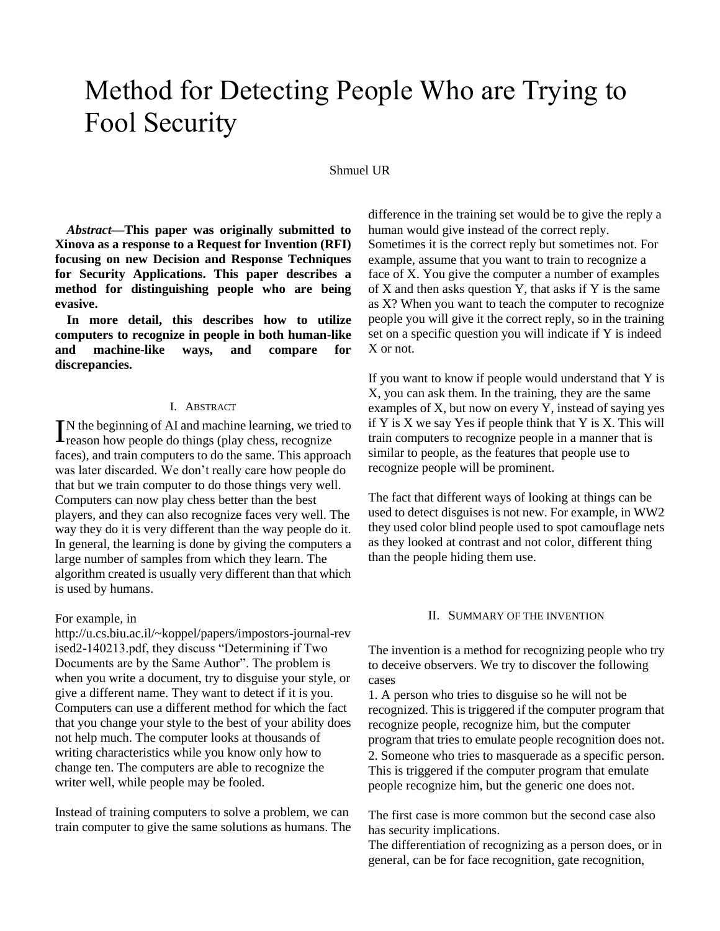# Method for Detecting People Who are Trying to Fool Security

#### Shmuel UR

*Abstract***—This paper was originally submitted to Xinova as a response to a Request for Invention (RFI) focusing on new Decision and Response Techniques for Security Applications. This paper describes a method for distinguishing people who are being evasive.** 

**In more detail, this describes how to utilize computers to recognize in people in both human-like and machine-like ways, and compare for discrepancies.**

#### I. ABSTRACT

N the beginning of AI and machine learning, we tried to IN the beginning of AI and machine learning, we tried<br>reason how people do things (play chess, recognize faces), and train computers to do the same. This approach was later discarded. We don't really care how people do that but we train computer to do those things very well. Computers can now play chess better than the best players, and they can also recognize faces very well. The way they do it is very different than the way people do it. In general, the learning is done by giving the computers a large number of samples from which they learn. The algorithm created is usually very different than that which is used by humans.

#### For example, in

http://u.cs.biu.ac.il/~koppel/papers/impostors-journal-rev ised2-140213.pdf, they discuss "Determining if Two Documents are by the Same Author". The problem is when you write a document, try to disguise your style, or give a different name. They want to detect if it is you. Computers can use a different method for which the fact that you change your style to the best of your ability does not help much. The computer looks at thousands of writing characteristics while you know only how to change ten. The computers are able to recognize the writer well, while people may be fooled.

Instead of training computers to solve a problem, we can train computer to give the same solutions as humans. The difference in the training set would be to give the reply a human would give instead of the correct reply. Sometimes it is the correct reply but sometimes not. For example, assume that you want to train to recognize a face of X. You give the computer a number of examples of  $X$  and then asks question  $Y$ , that asks if  $Y$  is the same as X? When you want to teach the computer to recognize people you will give it the correct reply, so in the training set on a specific question you will indicate if Y is indeed X or not.

If you want to know if people would understand that Y is X, you can ask them. In the training, they are the same examples of X, but now on every Y, instead of saying yes if Y is X we say Yes if people think that Y is X. This will train computers to recognize people in a manner that is similar to people, as the features that people use to recognize people will be prominent.

The fact that different ways of looking at things can be used to detect disguises is not new. For example, in WW2 they used color blind people used to spot camouflage nets as they looked at contrast and not color, different thing than the people hiding them use.

#### II. SUMMARY OF THE INVENTION

The invention is a method for recognizing people who try to deceive observers. We try to discover the following cases

1. A person who tries to disguise so he will not be recognized. This is triggered if the computer program that recognize people, recognize him, but the computer program that tries to emulate people recognition does not. 2. Someone who tries to masquerade as a specific person. This is triggered if the computer program that emulate people recognize him, but the generic one does not.

The first case is more common but the second case also has security implications.

The differentiation of recognizing as a person does, or in general, can be for face recognition, gate recognition,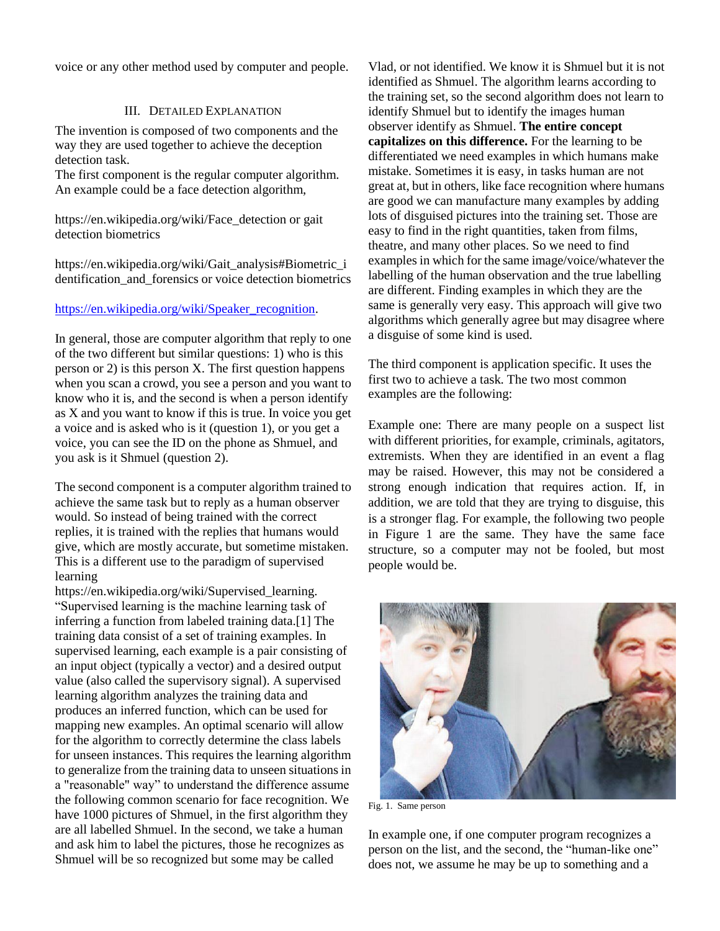voice or any other method used by computer and people.

## III. DETAILED EXPLANATION

The invention is composed of two components and the way they are used together to achieve the deception detection task.

The first component is the regular computer algorithm. An example could be a face detection algorithm,

https://en.wikipedia.org/wiki/Face\_detection or gait detection biometrics

https://en.wikipedia.org/wiki/Gait\_analysis#Biometric\_i dentification and forensics or voice detection biometrics

### [https://en.wikipedia.org/wiki/Speaker\\_recognition.](https://en.wikipedia.org/wiki/Speaker_recognition)

In general, those are computer algorithm that reply to one of the two different but similar questions: 1) who is this person or 2) is this person X. The first question happens when you scan a crowd, you see a person and you want to know who it is, and the second is when a person identify as X and you want to know if this is true. In voice you get a voice and is asked who is it (question 1), or you get a voice, you can see the ID on the phone as Shmuel, and you ask is it Shmuel (question 2).

The second component is a computer algorithm trained to achieve the same task but to reply as a human observer would. So instead of being trained with the correct replies, it is trained with the replies that humans would give, which are mostly accurate, but sometime mistaken. This is a different use to the paradigm of supervised learning

https://en.wikipedia.org/wiki/Supervised\_learning. "Supervised learning is the machine learning task of inferring a function from labeled training data.[1] The training data consist of a set of training examples. In supervised learning, each example is a pair consisting of an input object (typically a vector) and a desired output value (also called the supervisory signal). A supervised learning algorithm analyzes the training data and produces an inferred function, which can be used for mapping new examples. An optimal scenario will allow for the algorithm to correctly determine the class labels for unseen instances. This requires the learning algorithm to generalize from the training data to unseen situations in a "reasonable" way" to understand the difference assume the following common scenario for face recognition. We have 1000 pictures of Shmuel, in the first algorithm they are all labelled Shmuel. In the second, we take a human and ask him to label the pictures, those he recognizes as Shmuel will be so recognized but some may be called

Vlad, or not identified. We know it is Shmuel but it is not identified as Shmuel. The algorithm learns according to the training set, so the second algorithm does not learn to identify Shmuel but to identify the images human observer identify as Shmuel. **The entire concept capitalizes on this difference.** For the learning to be differentiated we need examples in which humans make mistake. Sometimes it is easy, in tasks human are not great at, but in others, like face recognition where humans are good we can manufacture many examples by adding lots of disguised pictures into the training set. Those are easy to find in the right quantities, taken from films, theatre, and many other places. So we need to find examples in which for the same image/voice/whatever the labelling of the human observation and the true labelling are different. Finding examples in which they are the same is generally very easy. This approach will give two algorithms which generally agree but may disagree where a disguise of some kind is used.

The third component is application specific. It uses the first two to achieve a task. The two most common examples are the following:

Example one: There are many people on a suspect list with different priorities, for example, criminals, agitators, extremists. When they are identified in an event a flag may be raised. However, this may not be considered a strong enough indication that requires action. If, in addition, we are told that they are trying to disguise, this is a stronger flag. For example, the following two people in Figure 1 are the same. They have the same face structure, so a computer may not be fooled, but most people would be.



Fig. 1. Same person

In example one, if one computer program recognizes a person on the list, and the second, the "human-like one" does not, we assume he may be up to something and a